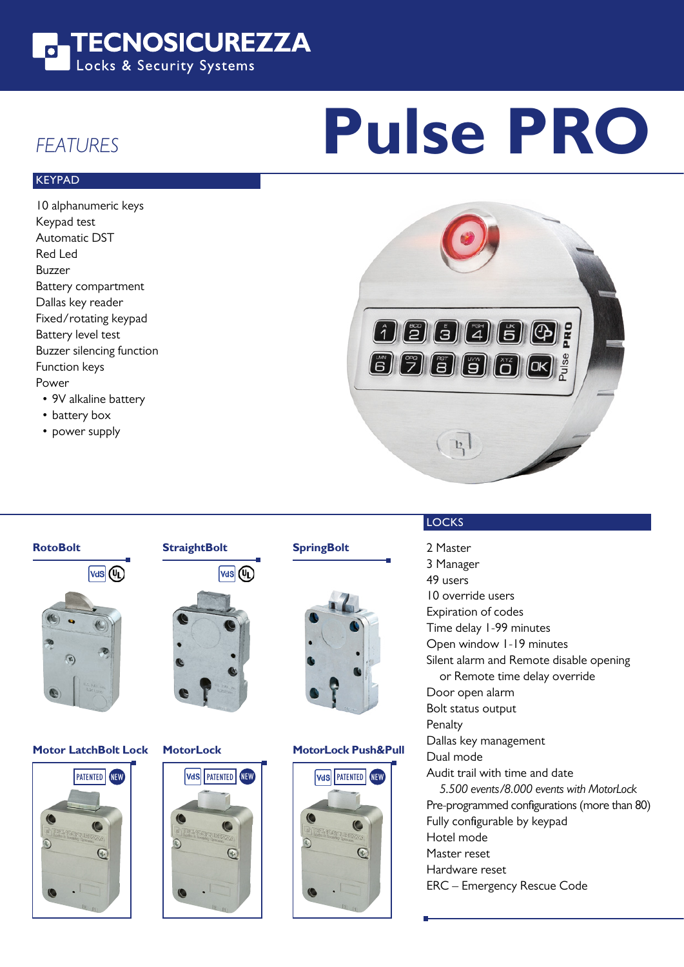

# **Pulse PRO**

### FEATURES

#### **KEYPAD**

10 alphanumeric keys Keypad test Automatic DST Red Led Buzzer Battery compartment Dallas key reader Fixed/rotating keypad Battery level test Buzzer silencing function Function keys Power

- 9V alkaline battery
- battery box
- power supply